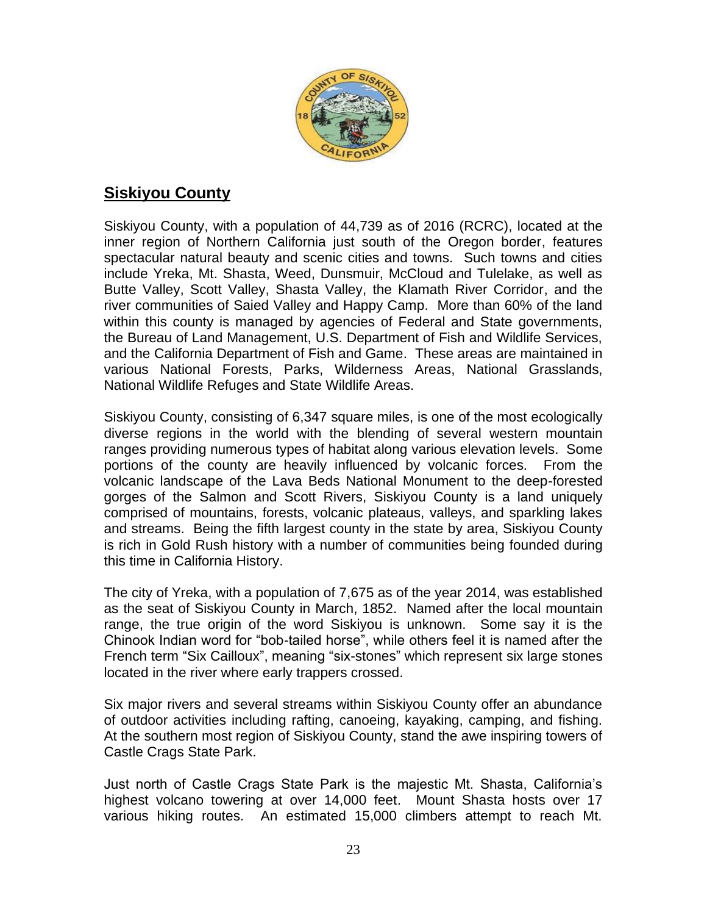

# **Siskiyou County**

Siskiyou County, with a population of 44,739 as of 2016 (RCRC), located at the inner region of Northern California just south of the Oregon border, features spectacular natural beauty and scenic cities and towns. Such towns and cities include Yreka, Mt. Shasta, Weed, Dunsmuir, McCloud and Tulelake, as well as Butte Valley, Scott Valley, Shasta Valley, the Klamath River Corridor, and the river communities of Saied Valley and Happy Camp. More than 60% of the land within this county is managed by agencies of Federal and State governments, the Bureau of Land Management, U.S. Department of Fish and Wildlife Services, and the California Department of Fish and Game. These areas are maintained in various National Forests, Parks, Wilderness Areas, National Grasslands, National Wildlife Refuges and State Wildlife Areas.

Siskiyou County, consisting of 6,347 square miles, is one of the most ecologically diverse regions in the world with the blending of several western mountain ranges providing numerous types of habitat along various elevation levels. Some portions of the county are heavily influenced by volcanic forces. From the volcanic landscape of the Lava Beds National Monument to the deep-forested gorges of the Salmon and Scott Rivers, Siskiyou County is a land uniquely comprised of mountains, forests, volcanic plateaus, valleys, and sparkling lakes and streams. Being the fifth largest county in the state by area, Siskiyou County is rich in Gold Rush history with a number of communities being founded during this time in California History.

The city of Yreka, with a population of 7,675 as of the year 2014, was established as the seat of Siskiyou County in March, 1852. Named after the local mountain range, the true origin of the word Siskiyou is unknown. Some say it is the Chinook Indian word for "bob-tailed horse", while others feel it is named after the French term "Six Cailloux", meaning "six-stones" which represent six large stones located in the river where early trappers crossed.

Six major rivers and several streams within Siskiyou County offer an abundance of outdoor activities including rafting, canoeing, kayaking, camping, and fishing. At the southern most region of Siskiyou County, stand the awe inspiring towers of Castle Crags State Park.

Just north of Castle Crags State Park is the majestic Mt. Shasta, California's highest volcano towering at over 14,000 feet. Mount Shasta hosts over 17 various hiking routes. An estimated 15,000 climbers attempt to reach Mt.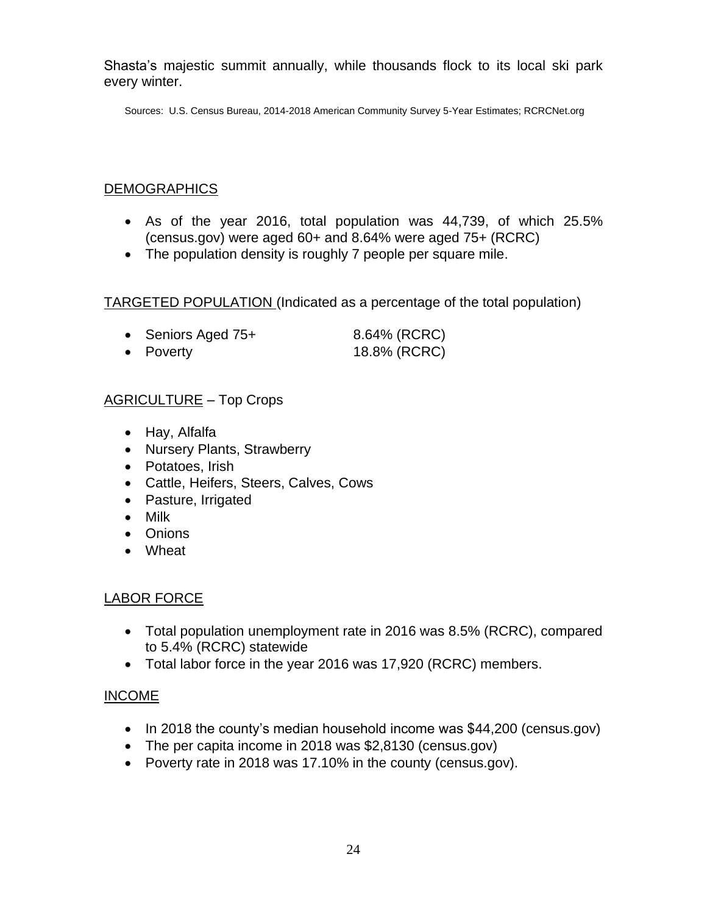Shasta's majestic summit annually, while thousands flock to its local ski park every winter.

Sources: U.S. Census Bureau, 2014-2018 American Community Survey 5-Year Estimates; RCRCNet.org

### DEMOGRAPHICS

- As of the year 2016, total population was 44,739, of which 25.5% (census.gov) were aged 60+ and 8.64% were aged 75+ (RCRC)
- The population density is roughly 7 people per square mile.

TARGETED POPULATION (Indicated as a percentage of the total population)

| • Seniors Aged 75+ | 8.64% (RCRC) |
|--------------------|--------------|
| • Poverty          | 18.8% (RCRC) |

## AGRICULTURE – Top Crops

- Hay, Alfalfa
- Nursery Plants, Strawberry
- Potatoes, Irish
- Cattle, Heifers, Steers, Calves, Cows
- Pasture, Irrigated
- Milk
- Onions
- Wheat

#### LABOR FORCE

- Total population unemployment rate in 2016 was 8.5% (RCRC), compared to 5.4% (RCRC) statewide
- Total labor force in the year 2016 was 17,920 (RCRC) members.

#### INCOME

- In 2018 the county's median household income was \$44,200 (census.gov)
- The per capita income in 2018 was \$2,8130 (census.gov)
- Poverty rate in 2018 was 17.10% in the county (census.gov).